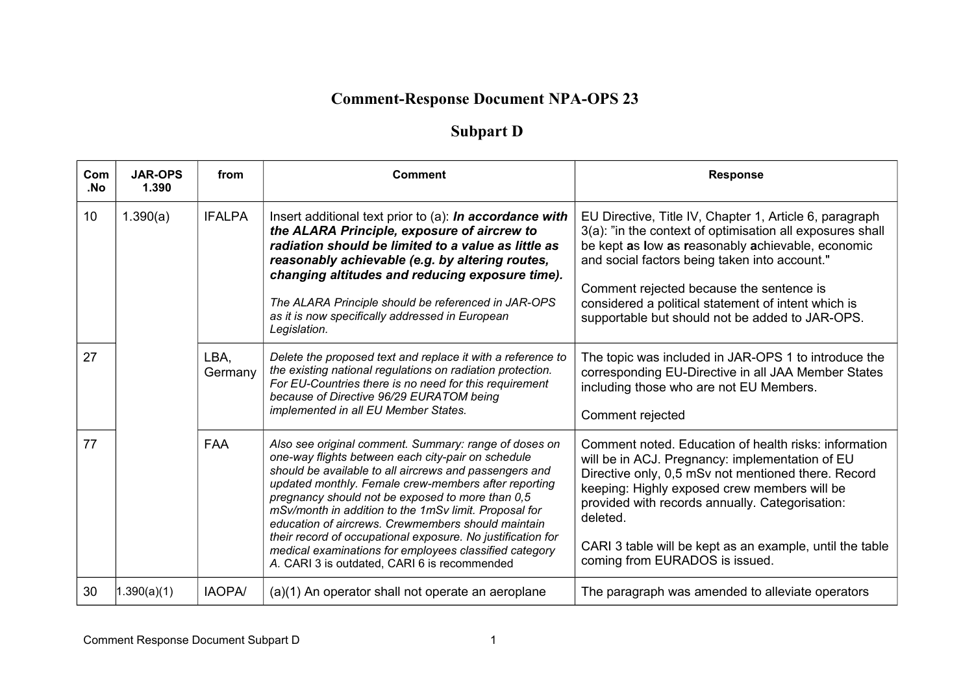## **Comment-Response Document NPA-OPS 23**

## **Subpart D**

| Com<br>.No | <b>JAR-OPS</b><br>1.390 | from            | <b>Comment</b>                                                                                                                                                                                                                                                                                                                                                                                                                                                                                                                                                            | <b>Response</b>                                                                                                                                                                                                                                                                                                                                                                  |
|------------|-------------------------|-----------------|---------------------------------------------------------------------------------------------------------------------------------------------------------------------------------------------------------------------------------------------------------------------------------------------------------------------------------------------------------------------------------------------------------------------------------------------------------------------------------------------------------------------------------------------------------------------------|----------------------------------------------------------------------------------------------------------------------------------------------------------------------------------------------------------------------------------------------------------------------------------------------------------------------------------------------------------------------------------|
| 10         | 1.390(a)                | <b>IFALPA</b>   | Insert additional text prior to (a): In accordance with<br>the ALARA Principle, exposure of aircrew to<br>radiation should be limited to a value as little as<br>reasonably achievable (e.g. by altering routes,<br>changing altitudes and reducing exposure time).<br>The ALARA Principle should be referenced in JAR-OPS<br>as it is now specifically addressed in European<br>Legislation.                                                                                                                                                                             | EU Directive, Title IV, Chapter 1, Article 6, paragraph<br>3(a): "in the context of optimisation all exposures shall<br>be kept as low as reasonably achievable, economic<br>and social factors being taken into account."<br>Comment rejected because the sentence is<br>considered a political statement of intent which is<br>supportable but should not be added to JAR-OPS. |
| 27         |                         | LBA.<br>Germany | Delete the proposed text and replace it with a reference to<br>the existing national regulations on radiation protection.<br>For EU-Countries there is no need for this requirement<br>because of Directive 96/29 EURATOM being<br>implemented in all EU Member States.                                                                                                                                                                                                                                                                                                   | The topic was included in JAR-OPS 1 to introduce the<br>corresponding EU-Directive in all JAA Member States<br>including those who are not EU Members.<br>Comment rejected                                                                                                                                                                                                       |
| 77         |                         | <b>FAA</b>      | Also see original comment. Summary: range of doses on<br>one-way flights between each city-pair on schedule<br>should be available to all aircrews and passengers and<br>updated monthly. Female crew-members after reporting<br>pregnancy should not be exposed to more than 0,5<br>mSv/month in addition to the 1mSv limit. Proposal for<br>education of aircrews. Crewmembers should maintain<br>their record of occupational exposure. No justification for<br>medical examinations for employees classified category<br>A. CARI 3 is outdated, CARI 6 is recommended | Comment noted. Education of health risks: information<br>will be in ACJ. Pregnancy: implementation of EU<br>Directive only, 0,5 mSv not mentioned there. Record<br>keeping: Highly exposed crew members will be<br>provided with records annually. Categorisation:<br>deleted.<br>CARI 3 table will be kept as an example, until the table<br>coming from EURADOS is issued.     |
| 30         | 1.390(a)(1)             | <b>IAOPA/</b>   | (a)(1) An operator shall not operate an aeroplane                                                                                                                                                                                                                                                                                                                                                                                                                                                                                                                         | The paragraph was amended to alleviate operators                                                                                                                                                                                                                                                                                                                                 |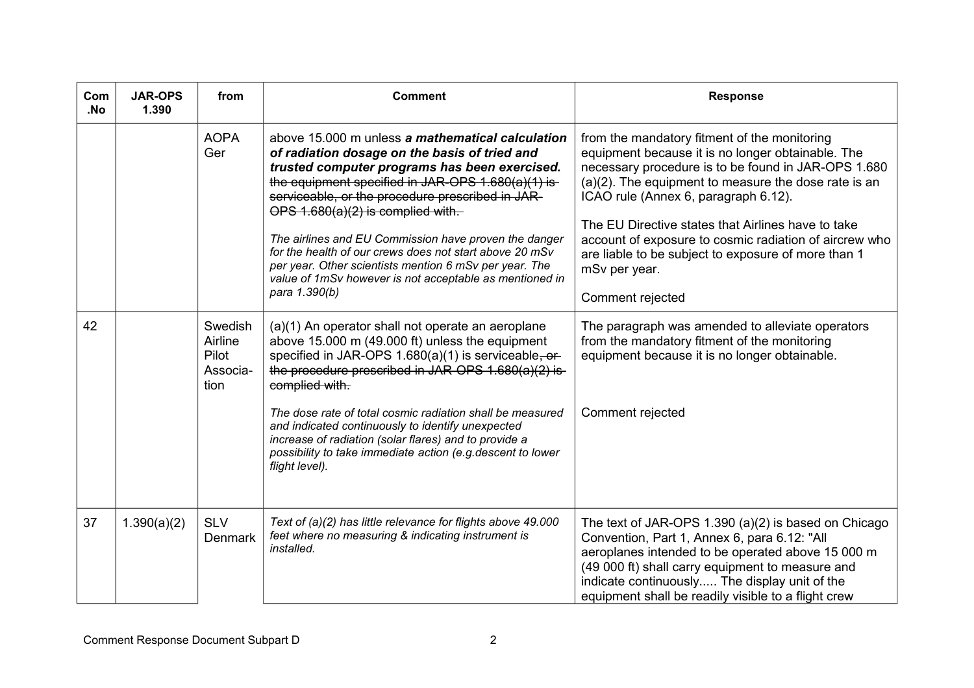| Com<br>.No | <b>JAR-OPS</b><br>1.390 | from                                            | <b>Comment</b>                                                                                                                                                                                                                                                                                                                                                                                                                                                                                                                                                | <b>Response</b>                                                                                                                                                                                                                                                                                                                                                                                                                                                         |
|------------|-------------------------|-------------------------------------------------|---------------------------------------------------------------------------------------------------------------------------------------------------------------------------------------------------------------------------------------------------------------------------------------------------------------------------------------------------------------------------------------------------------------------------------------------------------------------------------------------------------------------------------------------------------------|-------------------------------------------------------------------------------------------------------------------------------------------------------------------------------------------------------------------------------------------------------------------------------------------------------------------------------------------------------------------------------------------------------------------------------------------------------------------------|
|            |                         | <b>AOPA</b><br>Ger                              | above 15,000 m unless a mathematical calculation<br>of radiation dosage on the basis of tried and<br>trusted computer programs has been exercised.<br>the equipment specified in JAR-OPS 1.680(a)(1) is-<br>serviceable, or the procedure prescribed in JAR-<br>OPS $1.680(a)(2)$ is complied with.<br>The airlines and EU Commission have proven the danger<br>for the health of our crews does not start above 20 mSv<br>per year. Other scientists mention 6 mSv per year. The<br>value of 1mSv however is not acceptable as mentioned in<br>para 1.390(b) | from the mandatory fitment of the monitoring<br>equipment because it is no longer obtainable. The<br>necessary procedure is to be found in JAR-OPS 1.680<br>$(a)(2)$ . The equipment to measure the dose rate is an<br>ICAO rule (Annex 6, paragraph 6.12).<br>The EU Directive states that Airlines have to take<br>account of exposure to cosmic radiation of aircrew who<br>are liable to be subject to exposure of more than 1<br>mSv per year.<br>Comment rejected |
| 42         |                         | Swedish<br>Airline<br>Pilot<br>Associa-<br>tion | (a)(1) An operator shall not operate an aeroplane<br>above 15.000 m (49.000 ft) unless the equipment<br>specified in JAR-OPS $1.680(a)(1)$ is serviceable, or-<br>the procedure prescribed in JAR-OPS $1.680(a)(2)$ is-<br>complied with.                                                                                                                                                                                                                                                                                                                     | The paragraph was amended to alleviate operators<br>from the mandatory fitment of the monitoring<br>equipment because it is no longer obtainable.                                                                                                                                                                                                                                                                                                                       |
|            |                         |                                                 | The dose rate of total cosmic radiation shall be measured<br>and indicated continuously to identify unexpected<br>increase of radiation (solar flares) and to provide a<br>possibility to take immediate action (e.g. descent to lower<br>flight level).                                                                                                                                                                                                                                                                                                      | Comment rejected                                                                                                                                                                                                                                                                                                                                                                                                                                                        |
| 37         | 1.390(a)(2)             | <b>SLV</b><br><b>Denmark</b>                    | Text of (a)(2) has little relevance for flights above 49.000<br>feet where no measuring & indicating instrument is<br>installed.                                                                                                                                                                                                                                                                                                                                                                                                                              | The text of JAR-OPS 1.390 (a)(2) is based on Chicago<br>Convention, Part 1, Annex 6, para 6.12: "All<br>aeroplanes intended to be operated above 15 000 m<br>(49 000 ft) shall carry equipment to measure and<br>indicate continuously The display unit of the<br>equipment shall be readily visible to a flight crew                                                                                                                                                   |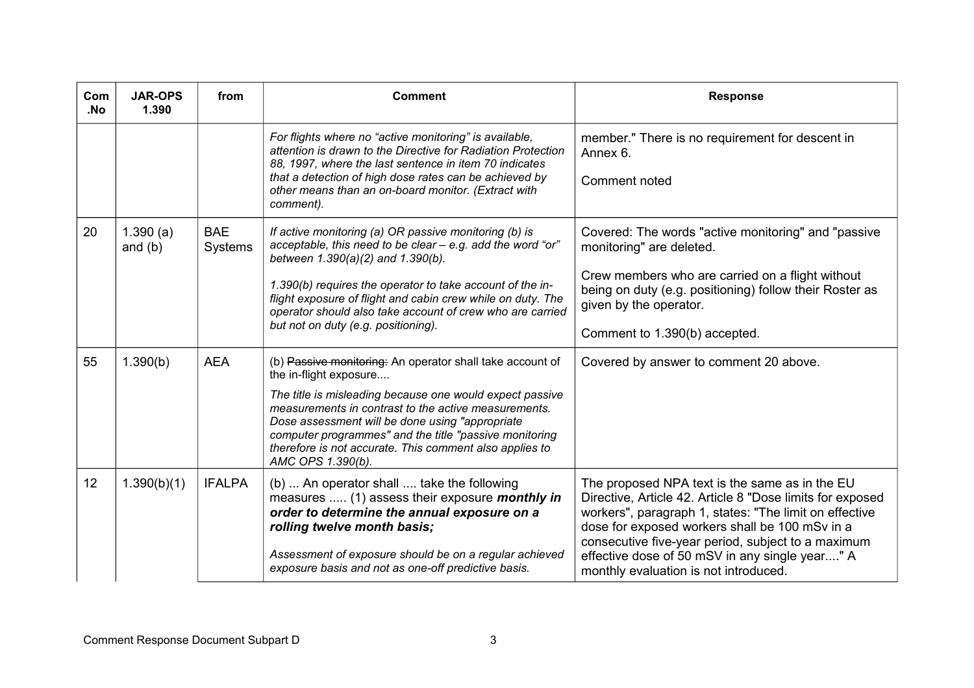| Com<br>.No | <b>JAR-OPS</b><br>1.390 | from                  | <b>Comment</b>                                                                                                                                                                                                                                                                                                                                                                                        | <b>Response</b>                                                                                                                                                                                                                                                                                                                                                          |
|------------|-------------------------|-----------------------|-------------------------------------------------------------------------------------------------------------------------------------------------------------------------------------------------------------------------------------------------------------------------------------------------------------------------------------------------------------------------------------------------------|--------------------------------------------------------------------------------------------------------------------------------------------------------------------------------------------------------------------------------------------------------------------------------------------------------------------------------------------------------------------------|
|            |                         |                       | For flights where no "active monitoring" is available,<br>attention is drawn to the Directive for Radiation Protection<br>88, 1997, where the last sentence in item 70 indicates<br>that a detection of high dose rates can be achieved by<br>other means than an on-board monitor. (Extract with<br>comment).                                                                                        | member." There is no requirement for descent in<br>Annex 6.<br>Comment noted                                                                                                                                                                                                                                                                                             |
| 20         | 1.390(a)<br>and $(b)$   | <b>BAE</b><br>Systems | If active monitoring (a) OR passive monitoring (b) is<br>acceptable, this need to be clear - e.g. add the word "or"<br>between 1.390(a)(2) and 1.390(b).<br>1.390(b) requires the operator to take account of the in-<br>flight exposure of flight and cabin crew while on duty. The<br>operator should also take account of crew who are carried<br>but not on duty (e.g. positioning).              | Covered: The words "active monitoring" and "passive<br>monitoring" are deleted.<br>Crew members who are carried on a flight without<br>being on duty (e.g. positioning) follow their Roster as<br>given by the operator.<br>Comment to 1.390(b) accepted.                                                                                                                |
| 55         | 1.390(b)                | <b>AEA</b>            | (b) Passive monitoring: An operator shall take account of<br>the in-flight exposure<br>The title is misleading because one would expect passive<br>measurements in contrast to the active measurements.<br>Dose assessment will be done using "appropriate"<br>computer programmes" and the title "passive monitoring<br>therefore is not accurate. This comment also applies to<br>AMC OPS 1.390(b). | Covered by answer to comment 20 above.                                                                                                                                                                                                                                                                                                                                   |
| 12         | 1.390(b)(1)             | <b>IFALPA</b>         | (b)  An operator shall  take the following<br>measures  (1) assess their exposure monthly in<br>order to determine the annual exposure on a<br>rolling twelve month basis;<br>Assessment of exposure should be on a regular achieved<br>exposure basis and not as one-off predictive basis.                                                                                                           | The proposed NPA text is the same as in the EU<br>Directive, Article 42. Article 8 "Dose limits for exposed<br>workers", paragraph 1, states: "The limit on effective<br>dose for exposed workers shall be 100 mSv in a<br>consecutive five-year period, subject to a maximum<br>effective dose of 50 mSV in any single year" A<br>monthly evaluation is not introduced. |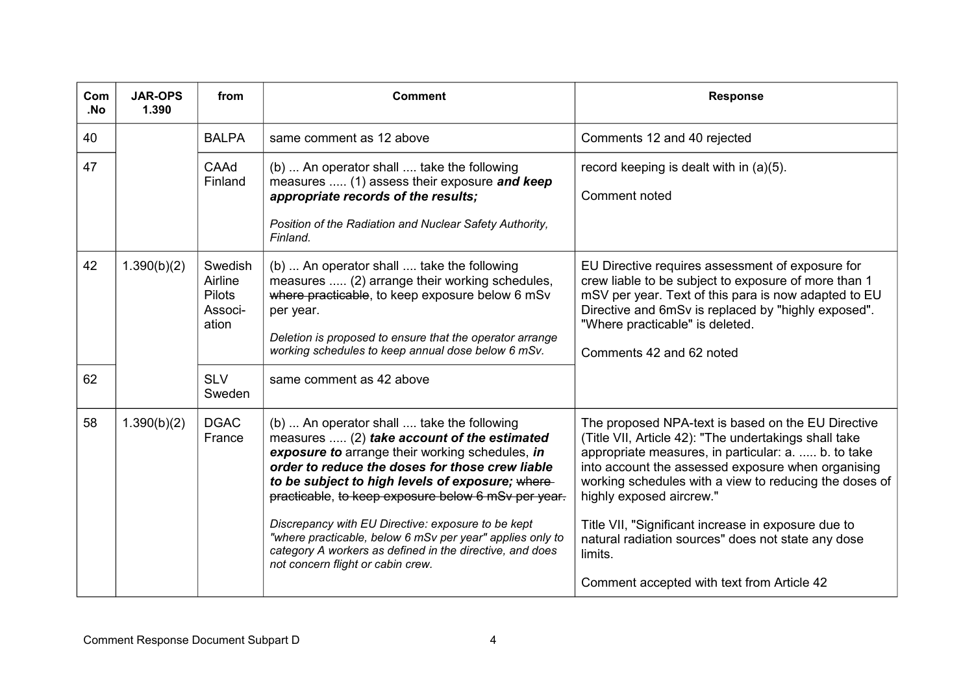| Com<br>.No | <b>JAR-OPS</b><br>1.390 | from                                                    | <b>Comment</b>                                                                                                                                                                                                                                                                                             | <b>Response</b>                                                                                                                                                                                                                                                                                                |
|------------|-------------------------|---------------------------------------------------------|------------------------------------------------------------------------------------------------------------------------------------------------------------------------------------------------------------------------------------------------------------------------------------------------------------|----------------------------------------------------------------------------------------------------------------------------------------------------------------------------------------------------------------------------------------------------------------------------------------------------------------|
| 40         |                         | <b>BALPA</b>                                            | same comment as 12 above                                                                                                                                                                                                                                                                                   | Comments 12 and 40 rejected                                                                                                                                                                                                                                                                                    |
| 47         |                         | CAAd<br>Finland                                         | (b)  An operator shall  take the following<br>measures  (1) assess their exposure and keep<br>appropriate records of the results;<br>Position of the Radiation and Nuclear Safety Authority,<br>Finland.                                                                                                   | record keeping is dealt with in (a)(5).<br>Comment noted                                                                                                                                                                                                                                                       |
| 42         | 1.390(b)(2)             | Swedish<br>Airline<br><b>Pilots</b><br>Associ-<br>ation | (b)  An operator shall  take the following<br>measures  (2) arrange their working schedules,<br>where practicable, to keep exposure below 6 mSv<br>per year.<br>Deletion is proposed to ensure that the operator arrange<br>working schedules to keep annual dose below 6 mSv.                             | EU Directive requires assessment of exposure for<br>crew liable to be subject to exposure of more than 1<br>mSV per year. Text of this para is now adapted to EU<br>Directive and 6mSv is replaced by "highly exposed".<br>"Where practicable" is deleted.<br>Comments 42 and 62 noted                         |
| 62         |                         | <b>SLV</b><br>Sweden                                    | same comment as 42 above                                                                                                                                                                                                                                                                                   |                                                                                                                                                                                                                                                                                                                |
| 58         | 1.390(b)(2)             | <b>DGAC</b><br>France                                   | (b)  An operator shall  take the following<br>measures  (2) take account of the estimated<br>exposure to arrange their working schedules, in<br>order to reduce the doses for those crew liable<br>to be subject to high levels of exposure; where-<br>practicable, to keep exposure below 6 mSv per year. | The proposed NPA-text is based on the EU Directive<br>(Title VII, Article 42): "The undertakings shall take<br>appropriate measures, in particular: a.  b. to take<br>into account the assessed exposure when organising<br>working schedules with a view to reducing the doses of<br>highly exposed aircrew." |
|            |                         |                                                         | Discrepancy with EU Directive: exposure to be kept<br>"where practicable, below 6 mSv per year" applies only to<br>category A workers as defined in the directive, and does<br>not concern flight or cabin crew.                                                                                           | Title VII, "Significant increase in exposure due to<br>natural radiation sources" does not state any dose<br>limits.<br>Comment accepted with text from Article 42                                                                                                                                             |
|            |                         |                                                         |                                                                                                                                                                                                                                                                                                            |                                                                                                                                                                                                                                                                                                                |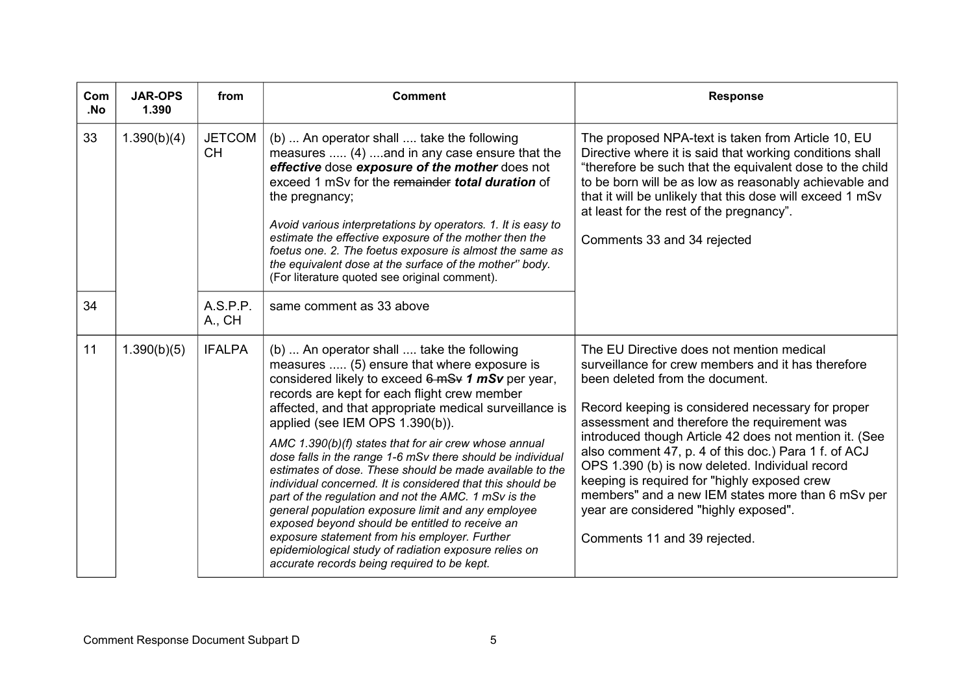| Com<br>.No | <b>JAR-OPS</b><br>1.390 | from                       | <b>Comment</b>                                                                                                                                                                                                                                                                                                                                                                                                                                                                                                                                                                                                                                                                                                                                                                                                                                                         | <b>Response</b>                                                                                                                                                                                                                                                                                                                                                                                                                                                                                                                                                                            |
|------------|-------------------------|----------------------------|------------------------------------------------------------------------------------------------------------------------------------------------------------------------------------------------------------------------------------------------------------------------------------------------------------------------------------------------------------------------------------------------------------------------------------------------------------------------------------------------------------------------------------------------------------------------------------------------------------------------------------------------------------------------------------------------------------------------------------------------------------------------------------------------------------------------------------------------------------------------|--------------------------------------------------------------------------------------------------------------------------------------------------------------------------------------------------------------------------------------------------------------------------------------------------------------------------------------------------------------------------------------------------------------------------------------------------------------------------------------------------------------------------------------------------------------------------------------------|
| 33         | 1.390(b)(4)             | <b>JETCOM</b><br><b>CH</b> | (b)  An operator shall  take the following<br>measures  (4) and in any case ensure that the<br>effective dose exposure of the mother does not<br>exceed 1 mSv for the remainder total duration of<br>the pregnancy;<br>Avoid various interpretations by operators. 1. It is easy to<br>estimate the effective exposure of the mother then the<br>foetus one. 2. The foetus exposure is almost the same as<br>the equivalent dose at the surface of the mother" body.<br>(For literature quoted see original comment).                                                                                                                                                                                                                                                                                                                                                  | The proposed NPA-text is taken from Article 10, EU<br>Directive where it is said that working conditions shall<br>"therefore be such that the equivalent dose to the child<br>to be born will be as low as reasonably achievable and<br>that it will be unlikely that this dose will exceed 1 mSv<br>at least for the rest of the pregnancy".<br>Comments 33 and 34 rejected                                                                                                                                                                                                               |
| 34         |                         | A.S.P.P.<br>A., CH         | same comment as 33 above                                                                                                                                                                                                                                                                                                                                                                                                                                                                                                                                                                                                                                                                                                                                                                                                                                               |                                                                                                                                                                                                                                                                                                                                                                                                                                                                                                                                                                                            |
| 11         | 1.390(b)(5)             | <b>IFALPA</b>              | (b)  An operator shall  take the following<br>measures  (5) ensure that where exposure is<br>considered likely to exceed 6 mSv 1 mSv per year,<br>records are kept for each flight crew member<br>affected, and that appropriate medical surveillance is<br>applied (see IEM OPS 1.390(b)).<br>AMC 1.390(b)(f) states that for air crew whose annual<br>dose falls in the range 1-6 mSv there should be individual<br>estimates of dose. These should be made available to the<br>individual concerned. It is considered that this should be<br>part of the regulation and not the AMC. 1 mSv is the<br>general population exposure limit and any employee<br>exposed beyond should be entitled to receive an<br>exposure statement from his employer. Further<br>epidemiological study of radiation exposure relies on<br>accurate records being required to be kept. | The EU Directive does not mention medical<br>surveillance for crew members and it has therefore<br>been deleted from the document.<br>Record keeping is considered necessary for proper<br>assessment and therefore the requirement was<br>introduced though Article 42 does not mention it. (See<br>also comment 47, p. 4 of this doc.) Para 1 f. of ACJ<br>OPS 1.390 (b) is now deleted. Individual record<br>keeping is required for "highly exposed crew<br>members" and a new IEM states more than 6 mSv per<br>year are considered "highly exposed".<br>Comments 11 and 39 rejected. |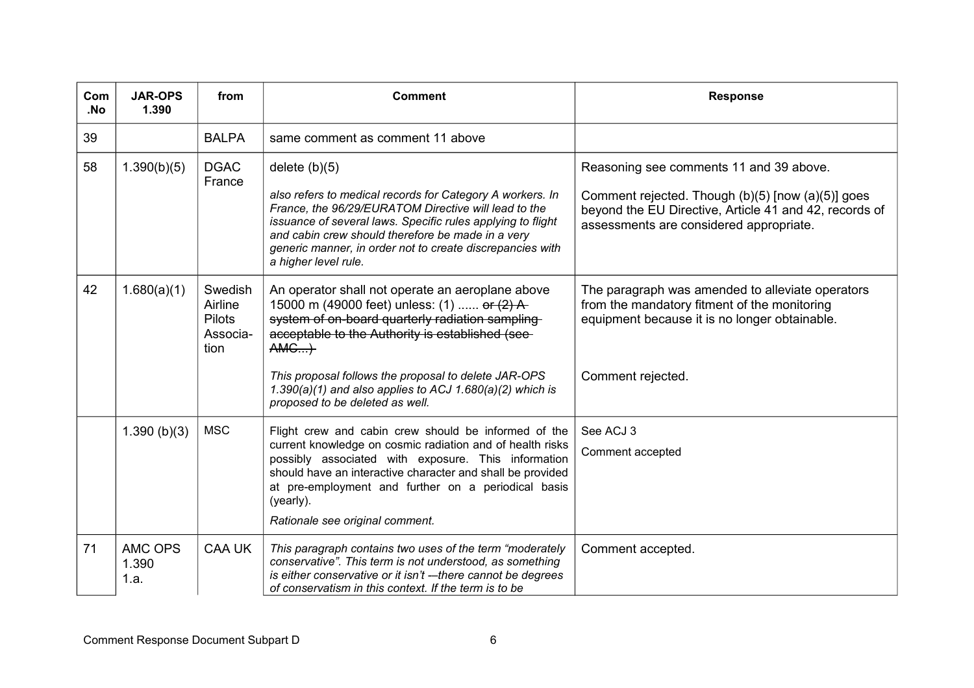| Com<br>.No | <b>JAR-OPS</b><br>1.390  | from                                                    | <b>Comment</b>                                                                                                                                                                                                                                                                                                                                                         | <b>Response</b>                                                                                                                                                                                   |
|------------|--------------------------|---------------------------------------------------------|------------------------------------------------------------------------------------------------------------------------------------------------------------------------------------------------------------------------------------------------------------------------------------------------------------------------------------------------------------------------|---------------------------------------------------------------------------------------------------------------------------------------------------------------------------------------------------|
| 39         |                          | <b>BALPA</b>                                            | same comment as comment 11 above                                                                                                                                                                                                                                                                                                                                       |                                                                                                                                                                                                   |
| 58         | 1.390(b)(5)              | <b>DGAC</b><br>France                                   | delete $(b)(5)$<br>also refers to medical records for Category A workers. In<br>France, the 96/29/EURATOM Directive will lead to the<br>issuance of several laws. Specific rules applying to flight<br>and cabin crew should therefore be made in a very<br>generic manner, in order not to create discrepancies with<br>a higher level rule.                          | Reasoning see comments 11 and 39 above.<br>Comment rejected. Though (b)(5) [now (a)(5)] goes<br>beyond the EU Directive, Article 41 and 42, records of<br>assessments are considered appropriate. |
| 42         | 1.680(a)(1)              | Swedish<br>Airline<br><b>Pilots</b><br>Associa-<br>tion | An operator shall not operate an aeroplane above<br>15000 m (49000 feet) unless: (1)  or $(2)$ A<br>system of on-board quarterly radiation sampling-<br>acceptable to the Authority is established (see-<br>AMG<br>This proposal follows the proposal to delete JAR-OPS<br>1.390(a)(1) and also applies to ACJ 1.680(a)(2) which is<br>proposed to be deleted as well. | The paragraph was amended to alleviate operators<br>from the mandatory fitment of the monitoring<br>equipment because it is no longer obtainable.<br>Comment rejected.                            |
|            | 1.390(b)(3)              | <b>MSC</b>                                              | Flight crew and cabin crew should be informed of the<br>current knowledge on cosmic radiation and of health risks<br>possibly associated with exposure. This information<br>should have an interactive character and shall be provided<br>at pre-employment and further on a periodical basis<br>(yearly).<br>Rationale see original comment.                          | See ACJ 3<br>Comment accepted                                                                                                                                                                     |
| 71         | AMC OPS<br>1.390<br>1.a. | <b>CAA UK</b>                                           | This paragraph contains two uses of the term "moderately<br>conservative". This term is not understood, as something<br>is either conservative or it isn't --there cannot be degrees<br>of conservatism in this context. If the term is to be                                                                                                                          | Comment accepted.                                                                                                                                                                                 |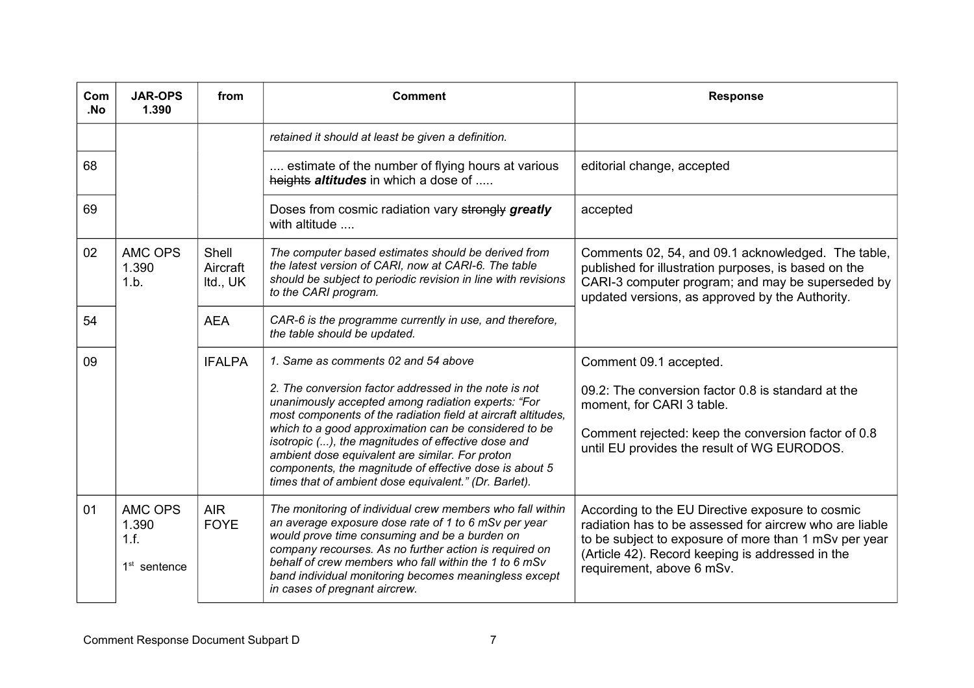| Com<br>.No | <b>JAR-OPS</b><br>1.390                    | from                          | <b>Comment</b>                                                                                                                                                                                                                                                                                                                                                                                                                                                    | <b>Response</b>                                                                                                                                                                                                                                       |
|------------|--------------------------------------------|-------------------------------|-------------------------------------------------------------------------------------------------------------------------------------------------------------------------------------------------------------------------------------------------------------------------------------------------------------------------------------------------------------------------------------------------------------------------------------------------------------------|-------------------------------------------------------------------------------------------------------------------------------------------------------------------------------------------------------------------------------------------------------|
|            |                                            |                               | retained it should at least be given a definition.                                                                                                                                                                                                                                                                                                                                                                                                                |                                                                                                                                                                                                                                                       |
| 68         |                                            |                               | estimate of the number of flying hours at various<br>heights altitudes in which a dose of                                                                                                                                                                                                                                                                                                                                                                         | editorial change, accepted                                                                                                                                                                                                                            |
| 69         |                                            |                               | Doses from cosmic radiation vary strongly greatly<br>with altitude                                                                                                                                                                                                                                                                                                                                                                                                | accepted                                                                                                                                                                                                                                              |
| 02         | <b>AMC OPS</b><br>1.390<br>1.b.            | Shell<br>Aircraft<br>Itd., UK | The computer based estimates should be derived from<br>the latest version of CARI, now at CARI-6. The table<br>should be subject to periodic revision in line with revisions<br>to the CARI program.                                                                                                                                                                                                                                                              | Comments 02, 54, and 09.1 acknowledged. The table,<br>published for illustration purposes, is based on the<br>CARI-3 computer program; and may be superseded by<br>updated versions, as approved by the Authority.                                    |
| 54         |                                            | <b>AEA</b>                    | CAR-6 is the programme currently in use, and therefore,<br>the table should be updated.                                                                                                                                                                                                                                                                                                                                                                           |                                                                                                                                                                                                                                                       |
| 09         |                                            | <b>IFALPA</b>                 | 1. Same as comments 02 and 54 above                                                                                                                                                                                                                                                                                                                                                                                                                               | Comment 09.1 accepted.                                                                                                                                                                                                                                |
|            |                                            |                               | 2. The conversion factor addressed in the note is not<br>unanimously accepted among radiation experts: "For<br>most components of the radiation field at aircraft altitudes,<br>which to a good approximation can be considered to be<br>isotropic (), the magnitudes of effective dose and<br>ambient dose equivalent are similar. For proton<br>components, the magnitude of effective dose is about 5<br>times that of ambient dose equivalent." (Dr. Barlet). | 09.2: The conversion factor 0.8 is standard at the<br>moment, for CARI 3 table.<br>Comment rejected: keep the conversion factor of 0.8<br>until EU provides the result of WG EURODOS.                                                                 |
| 01         | AMC OPS<br>1.390<br>1.f.<br>$1st$ sentence | <b>AIR</b><br><b>FOYE</b>     | The monitoring of individual crew members who fall within<br>an average exposure dose rate of 1 to 6 mSv per year<br>would prove time consuming and be a burden on<br>company recourses. As no further action is required on<br>behalf of crew members who fall within the 1 to 6 mSv<br>band individual monitoring becomes meaningless except<br>in cases of pregnant aircrew.                                                                                   | According to the EU Directive exposure to cosmic<br>radiation has to be assessed for aircrew who are liable<br>to be subject to exposure of more than 1 mSv per year<br>(Article 42). Record keeping is addressed in the<br>requirement, above 6 mSv. |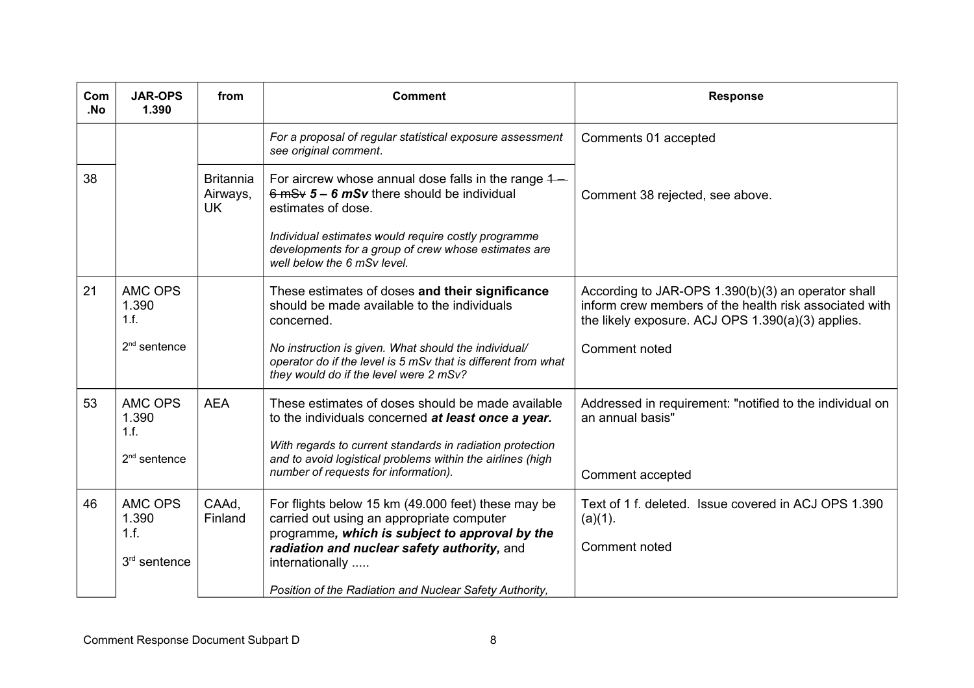| Com<br>.No | <b>JAR-OPS</b><br>1.390         | from                                      | <b>Comment</b>                                                                                                                                                  | <b>Response</b>                                                                                                                                                   |
|------------|---------------------------------|-------------------------------------------|-----------------------------------------------------------------------------------------------------------------------------------------------------------------|-------------------------------------------------------------------------------------------------------------------------------------------------------------------|
|            |                                 |                                           | For a proposal of regular statistical exposure assessment<br>see original comment.                                                                              | Comments 01 accepted                                                                                                                                              |
| 38         |                                 | <b>Britannia</b><br>Airways,<br><b>UK</b> | For aircrew whose annual dose falls in the range $4-$<br>$6 \text{ mSv}$ 5 – 6 mSv there should be individual<br>estimates of dose.                             | Comment 38 rejected, see above.                                                                                                                                   |
|            |                                 |                                           | Individual estimates would require costly programme<br>developments for a group of crew whose estimates are<br>well below the 6 mSv level.                      |                                                                                                                                                                   |
| 21         | <b>AMC OPS</b><br>1.390<br>1.f. |                                           | These estimates of doses and their significance<br>should be made available to the individuals<br>concerned.                                                    | According to JAR-OPS 1.390(b)(3) an operator shall<br>inform crew members of the health risk associated with<br>the likely exposure. ACJ OPS 1.390(a)(3) applies. |
|            | $2nd$ sentence                  |                                           | No instruction is given. What should the individual/<br>operator do if the level is 5 mSv that is different from what<br>they would do if the level were 2 mSv? | Comment noted                                                                                                                                                     |
| 53         | AMC OPS<br>1.390<br>1.f.        | <b>AEA</b>                                | These estimates of doses should be made available<br>to the individuals concerned at least once a year.                                                         | Addressed in requirement: "notified to the individual on<br>an annual basis"                                                                                      |
|            | $2nd$ sentence                  |                                           | With regards to current standards in radiation protection<br>and to avoid logistical problems within the airlines (high<br>number of requests for information). | Comment accepted                                                                                                                                                  |
| 46         | AMC OPS<br>1.390<br>1.f.        | CAAd,<br>Finland                          | For flights below 15 km (49.000 feet) these may be<br>carried out using an appropriate computer<br>programme, which is subject to approval by the               | Text of 1 f. deleted. Issue covered in ACJ OPS 1.390<br>$(a)(1)$ .                                                                                                |
|            | 3 <sup>rd</sup> sentence        |                                           | radiation and nuclear safety authority, and<br>internationally                                                                                                  | Comment noted                                                                                                                                                     |
|            |                                 |                                           | Position of the Radiation and Nuclear Safety Authority,                                                                                                         |                                                                                                                                                                   |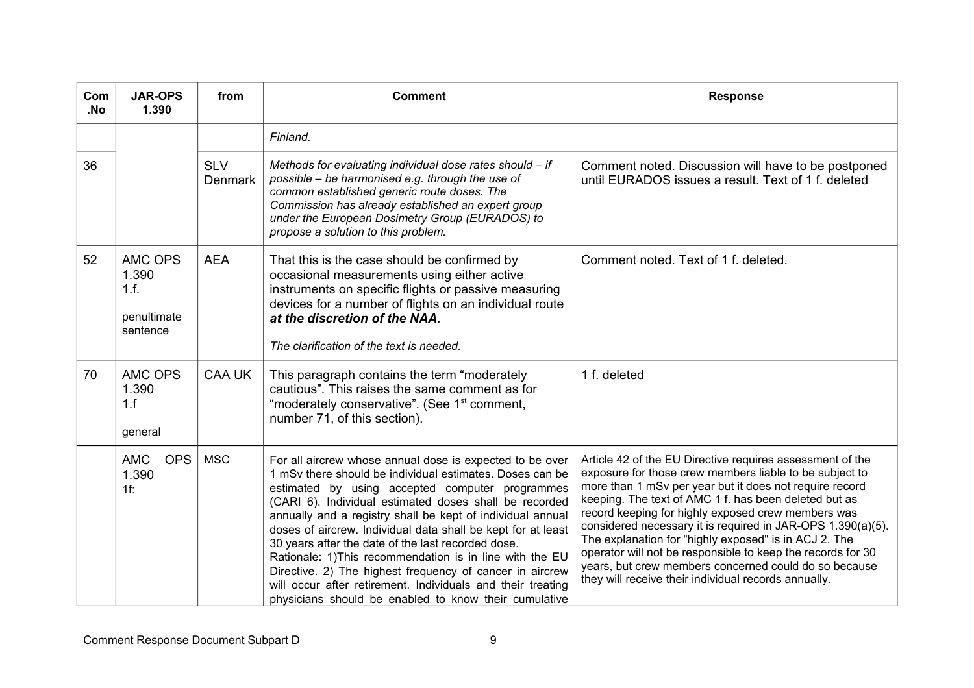| Com<br>.No | <b>JAR-OPS</b><br>1.390                                    | from                         | <b>Comment</b>                                                                                                                                                                                                                                                                                                                                                                                                                                                                                                                                                                                                                                                        | <b>Response</b>                                                                                                                                                                                                                                                                                                                                                                                                                                                                                                                                                                                        |
|------------|------------------------------------------------------------|------------------------------|-----------------------------------------------------------------------------------------------------------------------------------------------------------------------------------------------------------------------------------------------------------------------------------------------------------------------------------------------------------------------------------------------------------------------------------------------------------------------------------------------------------------------------------------------------------------------------------------------------------------------------------------------------------------------|--------------------------------------------------------------------------------------------------------------------------------------------------------------------------------------------------------------------------------------------------------------------------------------------------------------------------------------------------------------------------------------------------------------------------------------------------------------------------------------------------------------------------------------------------------------------------------------------------------|
|            |                                                            |                              | Finland.                                                                                                                                                                                                                                                                                                                                                                                                                                                                                                                                                                                                                                                              |                                                                                                                                                                                                                                                                                                                                                                                                                                                                                                                                                                                                        |
| 36         |                                                            | <b>SLV</b><br><b>Denmark</b> | Methods for evaluating individual dose rates should - if<br>possible – be harmonised e.g. through the use of<br>common established generic route doses. The<br>Commission has already established an expert group<br>under the European Dosimetry Group (EURADOS) to<br>propose a solution to this problem.                                                                                                                                                                                                                                                                                                                                                           | Comment noted. Discussion will have to be postponed<br>until EURADOS issues a result. Text of 1 f. deleted                                                                                                                                                                                                                                                                                                                                                                                                                                                                                             |
| 52         | <b>AMC OPS</b><br>1.390<br>1.f.<br>penultimate<br>sentence | <b>AEA</b>                   | That this is the case should be confirmed by<br>occasional measurements using either active<br>instruments on specific flights or passive measuring<br>devices for a number of flights on an individual route<br>at the discretion of the NAA.<br>The clarification of the text is needed.                                                                                                                                                                                                                                                                                                                                                                            | Comment noted. Text of 1 f. deleted.                                                                                                                                                                                                                                                                                                                                                                                                                                                                                                                                                                   |
| 70         | AMC OPS<br>1.390<br>1.f<br>general                         | <b>CAA UK</b>                | This paragraph contains the term "moderately<br>cautious". This raises the same comment as for<br>"moderately conservative". (See 1 <sup>st</sup> comment,<br>number 71, of this section).                                                                                                                                                                                                                                                                                                                                                                                                                                                                            | 1 f. deleted                                                                                                                                                                                                                                                                                                                                                                                                                                                                                                                                                                                           |
|            | <b>AMC</b><br><b>OPS</b><br>1.390<br>$1f$ :                | <b>MSC</b>                   | For all aircrew whose annual dose is expected to be over<br>1 mSy there should be individual estimates. Doses can be<br>estimated by using accepted computer programmes<br>(CARI 6). Individual estimated doses shall be recorded<br>annually and a registry shall be kept of individual annual<br>doses of aircrew. Individual data shall be kept for at least<br>30 years after the date of the last recorded dose.<br>Rationale: 1) This recommendation is in line with the EU<br>Directive. 2) The highest frequency of cancer in aircrew<br>will occur after retirement. Individuals and their treating<br>physicians should be enabled to know their cumulative | Article 42 of the EU Directive requires assessment of the<br>exposure for those crew members liable to be subject to<br>more than 1 mSv per year but it does not require record<br>keeping. The text of AMC 1 f. has been deleted but as<br>record keeping for highly exposed crew members was<br>considered necessary it is required in JAR-OPS 1.390(a)(5).<br>The explanation for "highly exposed" is in ACJ 2. The<br>operator will not be responsible to keep the records for 30<br>years, but crew members concerned could do so because<br>they will receive their individual records annually. |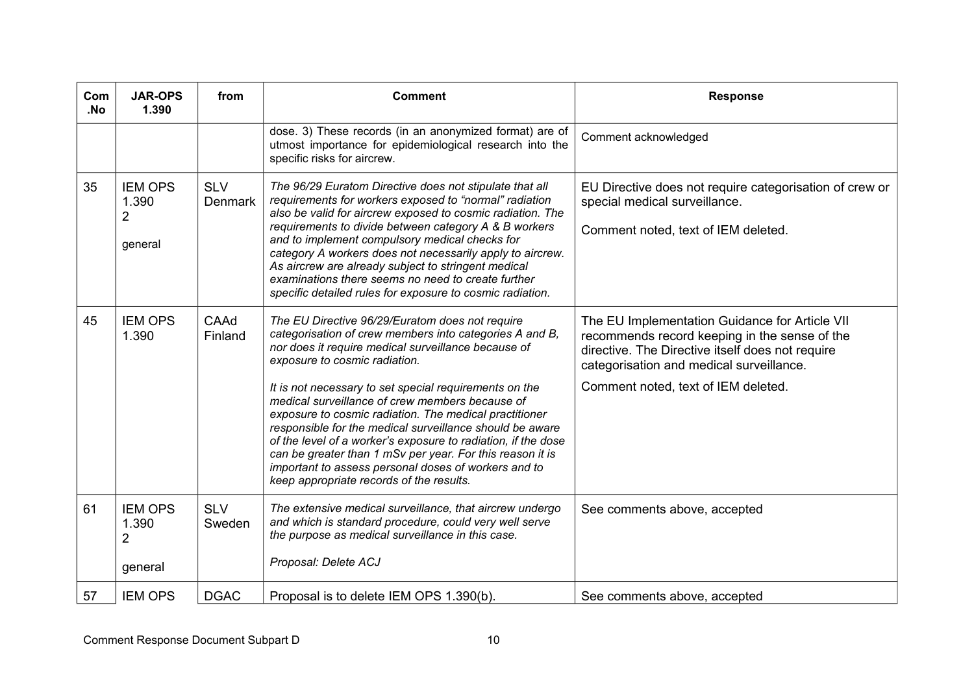| Com<br>.No | <b>JAR-OPS</b><br>1.390                              | from                         | <b>Comment</b>                                                                                                                                                                                                                                                                                                                                                                                                                                                                                                                                                                                                                                                          | <b>Response</b>                                                                                                                                                                                                                        |
|------------|------------------------------------------------------|------------------------------|-------------------------------------------------------------------------------------------------------------------------------------------------------------------------------------------------------------------------------------------------------------------------------------------------------------------------------------------------------------------------------------------------------------------------------------------------------------------------------------------------------------------------------------------------------------------------------------------------------------------------------------------------------------------------|----------------------------------------------------------------------------------------------------------------------------------------------------------------------------------------------------------------------------------------|
|            |                                                      |                              | dose. 3) These records (in an anonymized format) are of<br>utmost importance for epidemiological research into the<br>specific risks for aircrew.                                                                                                                                                                                                                                                                                                                                                                                                                                                                                                                       | Comment acknowledged                                                                                                                                                                                                                   |
| 35         | <b>IEM OPS</b><br>1.390<br>$\overline{2}$<br>general | <b>SLV</b><br><b>Denmark</b> | The 96/29 Euratom Directive does not stipulate that all<br>requirements for workers exposed to "normal" radiation<br>also be valid for aircrew exposed to cosmic radiation. The<br>requirements to divide between category A & B workers<br>and to implement compulsory medical checks for<br>category A workers does not necessarily apply to aircrew.<br>As aircrew are already subject to stringent medical<br>examinations there seems no need to create further<br>specific detailed rules for exposure to cosmic radiation.                                                                                                                                       | EU Directive does not require categorisation of crew or<br>special medical surveillance.<br>Comment noted, text of IEM deleted.                                                                                                        |
| 45         | <b>IEM OPS</b><br>1.390                              | CAAd<br>Finland              | The EU Directive 96/29/Euratom does not require<br>categorisation of crew members into categories A and B,<br>nor does it require medical surveillance because of<br>exposure to cosmic radiation.<br>It is not necessary to set special requirements on the<br>medical surveillance of crew members because of<br>exposure to cosmic radiation. The medical practitioner<br>responsible for the medical surveillance should be aware<br>of the level of a worker's exposure to radiation, if the dose<br>can be greater than 1 mSv per year. For this reason it is<br>important to assess personal doses of workers and to<br>keep appropriate records of the results. | The EU Implementation Guidance for Article VII<br>recommends record keeping in the sense of the<br>directive. The Directive itself does not require<br>categorisation and medical surveillance.<br>Comment noted, text of IEM deleted. |
| 61         | <b>IEM OPS</b><br>1.390<br>$\overline{2}$<br>general | <b>SLV</b><br>Sweden         | The extensive medical surveillance, that aircrew undergo<br>and which is standard procedure, could very well serve<br>the purpose as medical surveillance in this case.<br>Proposal: Delete ACJ                                                                                                                                                                                                                                                                                                                                                                                                                                                                         | See comments above, accepted                                                                                                                                                                                                           |
| 57         | <b>IEM OPS</b>                                       | <b>DGAC</b>                  | Proposal is to delete IEM OPS 1.390(b).                                                                                                                                                                                                                                                                                                                                                                                                                                                                                                                                                                                                                                 | See comments above, accepted                                                                                                                                                                                                           |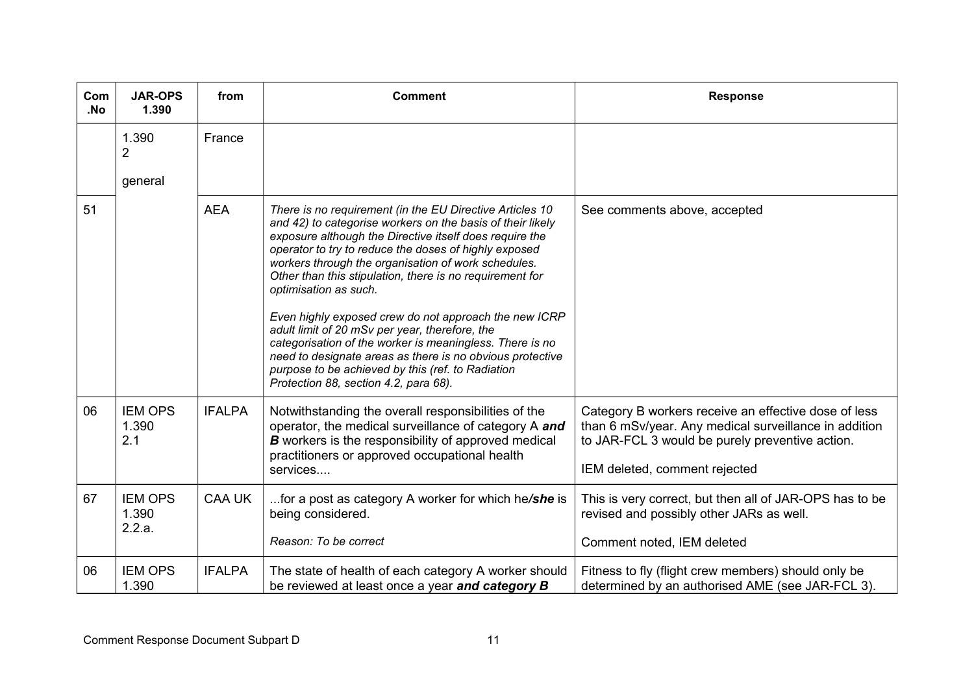| Com<br>.No | <b>JAR-OPS</b><br>1.390           | from          | <b>Comment</b>                                                                                                                                                                                                                                                                                                                                                                                                                                                                                                                                                                                                                                                                                                           | <b>Response</b>                                                                                                                                                                                   |
|------------|-----------------------------------|---------------|--------------------------------------------------------------------------------------------------------------------------------------------------------------------------------------------------------------------------------------------------------------------------------------------------------------------------------------------------------------------------------------------------------------------------------------------------------------------------------------------------------------------------------------------------------------------------------------------------------------------------------------------------------------------------------------------------------------------------|---------------------------------------------------------------------------------------------------------------------------------------------------------------------------------------------------|
|            | 1.390<br>2                        | France        |                                                                                                                                                                                                                                                                                                                                                                                                                                                                                                                                                                                                                                                                                                                          |                                                                                                                                                                                                   |
|            | general                           |               |                                                                                                                                                                                                                                                                                                                                                                                                                                                                                                                                                                                                                                                                                                                          |                                                                                                                                                                                                   |
| 51         |                                   | <b>AEA</b>    | There is no requirement (in the EU Directive Articles 10<br>and 42) to categorise workers on the basis of their likely<br>exposure although the Directive itself does require the<br>operator to try to reduce the doses of highly exposed<br>workers through the organisation of work schedules.<br>Other than this stipulation, there is no requirement for<br>optimisation as such.<br>Even highly exposed crew do not approach the new ICRP<br>adult limit of 20 mSv per year, therefore, the<br>categorisation of the worker is meaningless. There is no<br>need to designate areas as there is no obvious protective<br>purpose to be achieved by this (ref. to Radiation<br>Protection 88, section 4.2, para 68). | See comments above, accepted                                                                                                                                                                      |
| 06         | <b>IEM OPS</b><br>1.390<br>2.1    | <b>IFALPA</b> | Notwithstanding the overall responsibilities of the<br>operator, the medical surveillance of category A and<br><b>B</b> workers is the responsibility of approved medical<br>practitioners or approved occupational health<br>services                                                                                                                                                                                                                                                                                                                                                                                                                                                                                   | Category B workers receive an effective dose of less<br>than 6 mSv/year. Any medical surveillance in addition<br>to JAR-FCL 3 would be purely preventive action.<br>IEM deleted, comment rejected |
| 67         | <b>IEM OPS</b><br>1.390<br>2.2.a. | <b>CAA UK</b> | for a post as category A worker for which he/she is<br>being considered.<br>Reason: To be correct                                                                                                                                                                                                                                                                                                                                                                                                                                                                                                                                                                                                                        | This is very correct, but then all of JAR-OPS has to be<br>revised and possibly other JARs as well.<br>Comment noted, IEM deleted                                                                 |
| 06         | <b>IEM OPS</b><br>1.390           | <b>IFALPA</b> | The state of health of each category A worker should<br>be reviewed at least once a year and category B                                                                                                                                                                                                                                                                                                                                                                                                                                                                                                                                                                                                                  | Fitness to fly (flight crew members) should only be<br>determined by an authorised AME (see JAR-FCL 3).                                                                                           |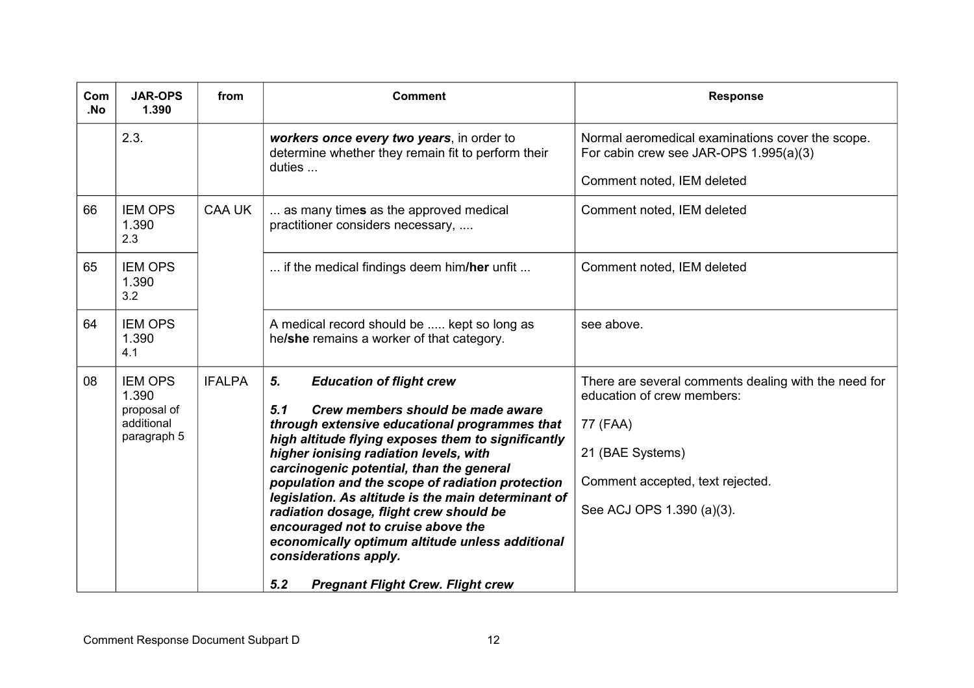| Com<br>.No | <b>JAR-OPS</b><br>1.390                                             | from          | <b>Comment</b>                                                                                                                                                                                                                                                                                                                                                                                                                                                                                                                                                                                            | <b>Response</b>                                                                                                                                                                     |
|------------|---------------------------------------------------------------------|---------------|-----------------------------------------------------------------------------------------------------------------------------------------------------------------------------------------------------------------------------------------------------------------------------------------------------------------------------------------------------------------------------------------------------------------------------------------------------------------------------------------------------------------------------------------------------------------------------------------------------------|-------------------------------------------------------------------------------------------------------------------------------------------------------------------------------------|
|            | 2.3.                                                                |               | workers once every two years, in order to<br>determine whether they remain fit to perform their<br>duties $\dots$                                                                                                                                                                                                                                                                                                                                                                                                                                                                                         | Normal aeromedical examinations cover the scope.<br>For cabin crew see JAR-OPS 1.995(a)(3)<br>Comment noted, IEM deleted                                                            |
| 66         | <b>IEM OPS</b><br>1.390<br>2.3                                      | CAA UK        | as many times as the approved medical<br>practitioner considers necessary,                                                                                                                                                                                                                                                                                                                                                                                                                                                                                                                                | Comment noted, IEM deleted                                                                                                                                                          |
| 65         | <b>IEM OPS</b><br>1.390<br>3.2                                      |               | if the medical findings deem him/her unfit                                                                                                                                                                                                                                                                                                                                                                                                                                                                                                                                                                | Comment noted, IEM deleted                                                                                                                                                          |
| 64         | <b>IEM OPS</b><br>1.390<br>4.1                                      |               | A medical record should be  kept so long as<br>he/she remains a worker of that category.                                                                                                                                                                                                                                                                                                                                                                                                                                                                                                                  | see above.                                                                                                                                                                          |
| 08         | <b>IEM OPS</b><br>1.390<br>proposal of<br>additional<br>paragraph 5 | <b>IFALPA</b> | <b>Education of flight crew</b><br>5.<br>5.1<br>Crew members should be made aware<br>through extensive educational programmes that<br>high altitude flying exposes them to significantly<br>higher ionising radiation levels, with<br>carcinogenic potential, than the general<br>population and the scope of radiation protection<br>legislation. As altitude is the main determinant of<br>radiation dosage, flight crew should be<br>encouraged not to cruise above the<br>economically optimum altitude unless additional<br>considerations apply.<br>5.2<br><b>Pregnant Flight Crew. Flight crew</b> | There are several comments dealing with the need for<br>education of crew members:<br>77 (FAA)<br>21 (BAE Systems)<br>Comment accepted, text rejected.<br>See ACJ OPS 1.390 (a)(3). |